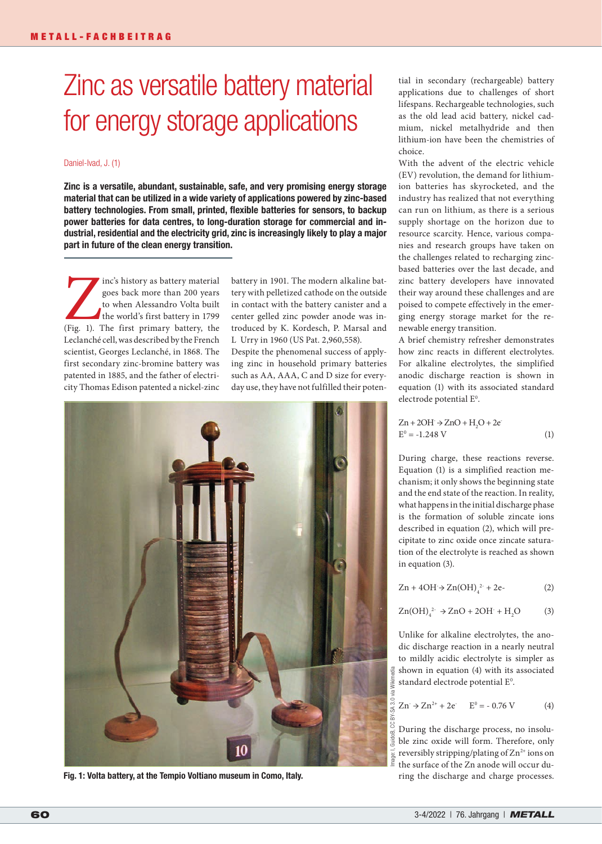# Zinc as versatile battery material for energy storage applications

# Daniel-Ivad, J. (1)

Zinc is a versatile, abundant, sustainable, safe, and very promising energy storage material that can be utilized in a wide variety of applications powered by zinc-based battery technologies. From small, printed, flexible batteries for sensors, to backup power batteries for data centres, to long-duration storage for commercial and industrial, residential and the electricity grid, zinc is increasingly likely to play a major part in future of the clean energy transition.

Inc's history as battery material<br>goes back more than 200 years<br>to when Alessandro Volta built<br>the world's first battery in 1799<br>(Fig. 1). The first primary battery, the goes back more than 200 years to when Alessandro Volta built the world's first battery in 1799 Leclanché cell, was described by the French scientist, Georges Leclanché, in 1868. The first secondary zinc-bromine battery was patented in 1885, and the father of electricity Thomas Edison patented a nickel-zinc

battery in 1901. The modern alkaline battery with pelletized cathode on the outside in contact with the battery canister and a center gelled zinc powder anode was introduced by K. Kordesch, P. Marsal and L Urry in 1960 (US Pat. 2,960,558).

Despite the phenomenal success of applying zinc in household primary batteries such as AA, AAA, C and D size for everyday use, they have not fulfilled their poten-



Fig. 1: Volta battery, at the Tempio Voltiano museum in Como, Italy.

tial in secondary (rechargeable) battery applications due to challenges of short lifespans. Rechargeable technologies, such as the old lead acid battery, nickel cadmium, nickel metalhydride and then lithium-ion have been the chemistries of choice.

With the advent of the electric vehicle (EV) revolution, the demand for lithiumion batteries has skyrocketed, and the industry has realized that not everything can run on lithium, as there is a serious supply shortage on the horizon due to resource scarcity. Hence, various companies and research groups have taken on the challenges related to recharging zincbased batteries over the last decade, and zinc battery developers have innovated their way around these challenges and are poised to compete effectively in the emerging energy storage market for the renewable energy transition.

A brief chemistry refresher demonstrates how zinc reacts in different electrolytes. For alkaline electrolytes, the simplified anodic discharge reaction is shown in equation (1) with its associated standard electrode potential E<sup>0</sup>.

$$
Zn + 2OH \rightarrow ZnO + H2O + 2e
$$
  
E<sup>o</sup> = -1.248 V (1)

During charge, these reactions reverse. Equation (1) is a simplified reaction mechanism; it only shows the beginning state and the end state of the reaction. In reality, what happens in the initial discharge phase is the formation of soluble zincate ions described in equation (2), which will precipitate to zinc oxide once zincate saturation of the electrolyte is reached as shown in equation (3).

 $\text{Zn} + 4\text{OH} \rightarrow \text{Zn}(\text{OH})_4^{2} + 2\text{e}$  (2)

$$
Zn(OH)_4^{2} \rightarrow ZnO + 2OH + H_2O \tag{3}
$$

Unlike for alkaline electrolytes, the anodic discharge reaction in a nearly neutral to mildly acidic electrolyte is simpler as shown in equation (4) with its associated standard electrode potential E<sup>0</sup>.

$$
Zn \to Zn^{2+} + 2e^- \qquad E^0 = -0.76 \text{ V} \tag{4}
$$

During the discharge process, no insoluble zinc oxide will form. Therefore, only reversibly stripping/plating of  $Zn^{2+}$  ions on the surface of the Zn anode will occur during the discharge and charge processes.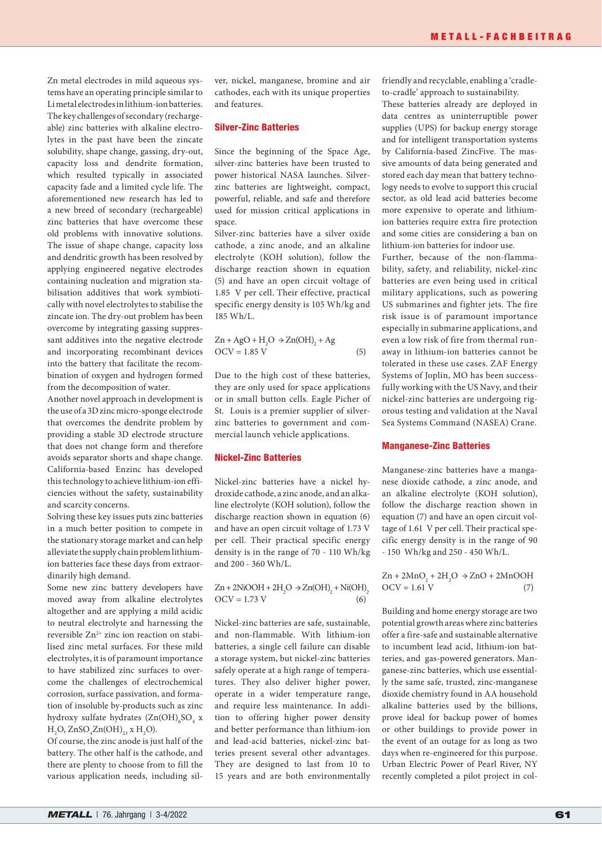Zn metal electrodes in mild aqueous systems have an operating principle similar to Li metal electrodes in lithium-ion batteries. The key challenges of secondary (rechargeable) zinc batteries with alkaline electrolytes in the past have been the zincate solubility, shape change, gassing, dry-out, capacity loss and dendrite formation, which resulted typically in associated capacity fade and a limited cycle life. The aforementioned new research has led to a new breed of secondary (rechargeable) zinc batteries that have overcome these old problems with innovative solutions. The issue of shape change, capacity loss and dendritic growth has been resolved by applying engineered negative electrodes containing nucleation and migration stabilisation additives that work symbiotically with novel electrolytes to stabilise the zincate ion. The dry-out problem has been overcome by integrating gassing suppressant additives into the negative electrode and incorporating recombinant devices into the battery that facilitate the recombination of oxygen and hydrogen formed from the decomposition of water.

Another novel approach in development is the use of a 3D zinc micro-sponge electrode that overcomes the dendrite problem by providing a stable 3D electrode structure that does not change form and therefore avoids separator shorts and shape change. California-based Enzinc has developed this technology to achieve lithium-ion efficiencies without the safety, sustainability and scarcity concerns.

Solving these key issues puts zinc batteries in a much better position to compete in the stationary storage market and can help alleviate the supply chain problem lithiumion batteries face these days from extraordinarily high demand.

Some new zinc battery developers have moved away from alkaline electrolytes altogether and are applying a mild acidic to neutral electrolyte and harnessing the reversible Zn<sup>2+</sup> zinc ion reaction on stabilised zinc metal surfaces. For these mild electrolytes, it is of paramount importance to have stabilized zinc surfaces to overcome the challenges of electrochemical corrosion, surface passivation, and formation of insoluble by-products such as zinc hydroxy sulfate hydrates  $(Zn(OH)_{6}SO_{4} x)$  $H_2O$ ,  $ZnSO_4Zn(OH)_{23}$  x  $H_2O$ ).

Of course, the zinc anode is just half of the battery. The other half is the cathode, and there are plenty to choose from to fill the various application needs, including silver, nickel, manganese, bromine and air cathodes, each with its unique properties and features.

#### Silver-Zinc Batteries

Since the beginning of the Space Age, silver-zinc batteries have been trusted to power historical NASA launches. Silverzinc batteries are lightweight, compact, powerful, reliable, and safe and therefore used for mission critical applications in space.

Silver-zinc batteries have a silver oxide cathode, a zinc anode, and an alkaline electrolyte (KOH solution), follow the discharge reaction shown in equation (5) and have an open circuit voltage of 1.85 V per cell. Their effective, practical specific energy density is 105 Wh/kg and 185 Wh/L.

$$
Zn + AgO + H2O \rightarrow Zn(OH)2 + Ag
$$
  
OCV = 1.85 V (5)

Due to the high cost of these batteries, they are only used for space applications or in small button cells. Eagle Picher of St. Louis is a premier supplier of silverzinc batteries to government and commercial launch vehicle applications.

### Nickel-Zinc Batteries

Nickel-zinc batteries have a nickel hydroxide cathode, a zinc anode, and an alkaline electrolyte (KOH solution), follow the discharge reaction shown in equation (6) and have an open circuit voltage of 1.73 V per cell. Their practical specific energy density is in the range of 70 - 110 Wh/kg and 200 - 360 Wh/L.

$$
Zn + 2NiOOH + 2H2O \rightarrow Zn(OH)2 + Ni(OH)2
$$
  
OCV = 1.73 V (6)

Nickel-zinc batteries are safe, sustainable, and non-flammable. With lithium-ion batteries, a single cell failure can disable a storage system, but nickel-zinc batteries safely operate at a high range of temperatures. They also deliver higher power, operate in a wider temperature range, and require less maintenance. In addition to offering higher power density and better performance than lithium-ion and lead-acid batteries, nickel-zinc batteries present several other advantages. They are designed to last from 10 to 15 years and are both environmentally friendly and recyclable, enabling a 'cradleto-cradle' approach to sustainability.

These batteries already are deployed in data centres as uninterruptible power supplies (UPS) for backup energy storage and for intelligent transportation systems by California-based ZincFive. The massive amounts of data being generated and stored each day mean that battery technology needs to evolve to support this crucial sector, as old lead acid batteries become more expensive to operate and lithiumion batteries require extra fire protection and some cities are considering a ban on lithium-ion batteries for indoor use.

Further, because of the non-flammability, safety, and reliability, nickel-zinc batteries are even being used in critical military applications, such as powering US submarines and fighter jets. The fire risk issue is of paramount importance especially in submarine applications, and even a low risk of fire from thermal runaway in lithium-ion batteries cannot be tolerated in these use cases. ZAF Energy Systems of Joplin, MO has been successfully working with the US Navy, and their nickel-zinc batteries are undergoing rigorous testing and validation at the Naval Sea Systems Command (NASEA) Crane.

# Manganese-Zinc Batteries

Manganese-zinc batteries have a manganese dioxide cathode, a zinc anode, and an alkaline electrolyte (KOH solution), follow the discharge reaction shown in equation (7) and have an open circuit voltage of 1.61 V per cell. Their practical specific energy density is in the range of 90 - 150 Wh/kg and 250 - 450 Wh/L.

 $\text{Zn} + 2\text{MnO}_2 + 2\text{H}_2\text{O} \rightarrow \text{ZnO} + 2\text{MnOOH}$  $OCV = 1.61 V$  (7)

Building and home energy storage are two potential growth areas where zinc batteries offer a fire-safe and sustainable alternative to incumbent lead acid, lithium-ion batteries, and gas-powered generators. Manganese-zinc batteries, which use essentially the same safe, trusted, zinc-manganese dioxide chemistry found in AA household alkaline batteries used by the billions, prove ideal for backup power of homes or other buildings to provide power in the event of an outage for as long as two days when re-engineered for this purpose. Urban Electric Power of Pearl River, NY recently completed a pilot project in col-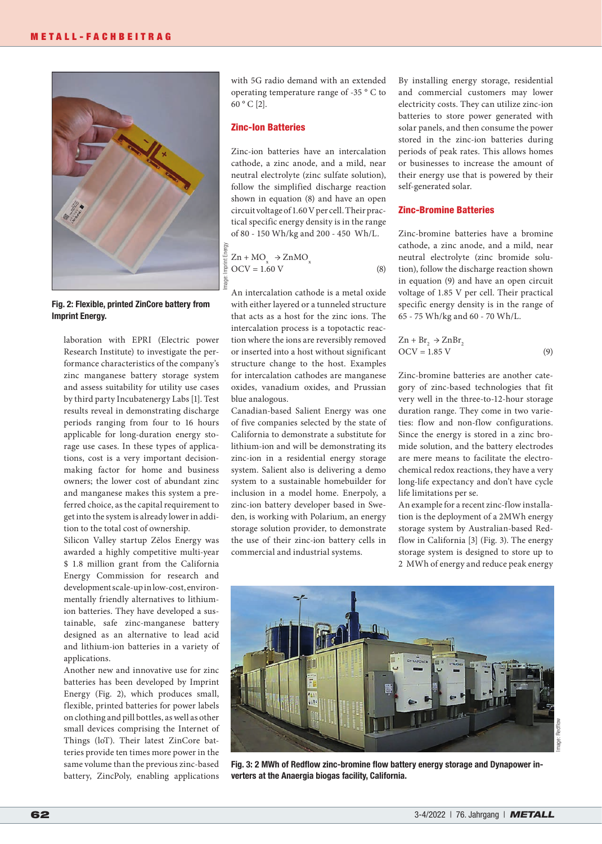

Fig. 2: Flexible, printed ZinCore battery from Imprint Energy.

laboration with EPRI (Electric power Research Institute) to investigate the performance characteristics of the company's zinc manganese battery storage system and assess suitability for utility use cases by third party Incubatenergy Labs [1]. Test results reveal in demonstrating discharge periods ranging from four to 16 hours applicable for long-duration energy storage use cases. In these types of applications, cost is a very important decisionmaking factor for home and business owners; the lower cost of abundant zinc and manganese makes this system a preferred choice, as the capital requirement to get into the system is already lower in addition to the total cost of ownership.

Silicon Valley startup Zēlos Energy was awarded a highly competitive multi-year \$ 1.8 million grant from the California Energy Commission for research and development scale-up in low-cost, environmentally friendly alternatives to lithiumion batteries. They have developed a sustainable, safe zinc-manganese battery designed as an alternative to lead acid and lithium-ion batteries in a variety of applications.

Another new and innovative use for zinc batteries has been developed by Imprint Energy (Fig. 2), which produces small, flexible, printed batteries for power labels on clothing and pill bottles, as well as other small devices comprising the Internet of Things (loT). Their latest ZinCore batteries provide ten times more power in the same volume than the previous zinc-based battery, ZincPoly, enabling applications with 5G radio demand with an extended operating temperature range of -35 ° C to 60 ° C [2].

#### Zinc-Ion Batteries

Zinc-ion batteries have an intercalation cathode, a zinc anode, and a mild, near neutral electrolyte (zinc sulfate solution), follow the simplified discharge reaction shown in equation (8) and have an open circuit voltage of 1.60 V per cell. Their practical specific energy density is in the range of 80 - 150 Wh/kg and 200 - 450 Wh/L.

$$
\frac{\frac{1}{2}}{\frac{1}{2}} Zn + MO_x \rightarrow ZnMO_x
$$
  
\n
$$
\frac{\frac{1}{2}}{\frac{1}{2}} OCV = 1.60 V
$$
 (8)

An intercalation cathode is a metal oxide with either layered or a tunneled structure that acts as a host for the zinc ions. The intercalation process is a topotactic reaction where the ions are reversibly removed or inserted into a host without significant structure change to the host. Examples for intercalation cathodes are manganese oxides, vanadium oxides, and Prussian blue analogous.

Canadian-based Salient Energy was one of five companies selected by the state of California to demonstrate a substitute for lithium-ion and will be demonstrating its zinc-ion in a residential energy storage system. Salient also is delivering a demo system to a sustainable homebuilder for inclusion in a model home. Enerpoly, a zinc-ion battery developer based in Sweden, is working with Polarium, an energy storage solution provider, to demonstrate the use of their zinc-ion battery cells in commercial and industrial systems.

By installing energy storage, residential and commercial customers may lower electricity costs. They can utilize zinc-ion batteries to store power generated with solar panels, and then consume the power stored in the zinc-ion batteries during periods of peak rates. This allows homes or businesses to increase the amount of their energy use that is powered by their self-generated solar.

#### Zinc-Bromine Batteries

Zinc-bromine batteries have a bromine cathode, a zinc anode, and a mild, near neutral electrolyte (zinc bromide solution), follow the discharge reaction shown in equation (9) and have an open circuit voltage of 1.85 V per cell. Their practical specific energy density is in the range of 65 - 75 Wh/kg and 60 - 70 Wh/L.

$$
Zn + Br2 \rightarrow ZnBr2
$$
  
OCV = 1.85 V (9)

Zinc-bromine batteries are another category of zinc-based technologies that fit very well in the three-to-12-hour storage duration range. They come in two varieties: flow and non-flow configurations. Since the energy is stored in a zinc bromide solution, and the battery electrodes are mere means to facilitate the electrochemical redox reactions, they have a very long-life expectancy and don't have cycle life limitations per se.

An example for a recent zinc-flow installation is the deployment of a 2MWh energy storage system by Australian-based Redflow in California [3] (Fig. 3). The energy storage system is designed to store up to 2 MWh of energy and reduce peak energy

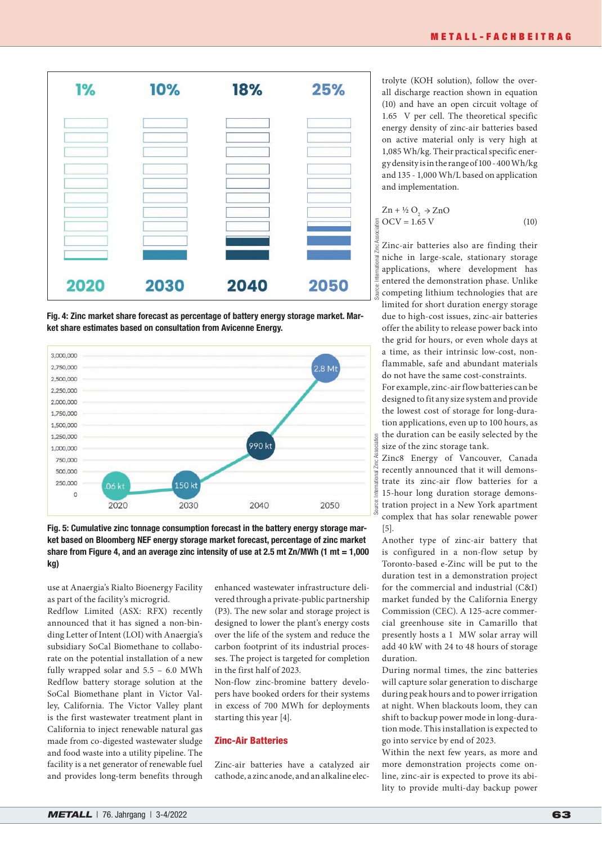

Fig. 4: Zinc market share forecast as percentage of battery energy storage market. Market share estimates based on consultation from Avicenne Energy.



Fig. 5: Cumulative zinc tonnage consumption forecast in the battery energy storage market based on Bloomberg NEF energy storage market forecast, percentage of zinc market share from Figure 4, and an average zinc intensity of use at 2.5 mt Zn/MWh (1 mt =  $1,000$ kg)

use at Anaergia's Rialto Bioenergy Facility as part of the facility's microgrid.

Redflow Limited (ASX: RFX) recently announced that it has signed a non-binding Letter of Intent (LOI) with Anaergia's subsidiary SoCal Biomethane to collaborate on the potential installation of a new fully wrapped solar and 5.5 – 6.0 MWh Redflow battery storage solution at the SoCal Biomethane plant in Victor Valley, California. The Victor Valley plant is the first wastewater treatment plant in California to inject renewable natural gas made from co-digested wastewater sludge and food waste into a utility pipeline. The facility is a net generator of renewable fuel and provides long-term benefits through enhanced wastewater infrastructure delivered through a private-public partnership (P3). The new solar and storage project is designed to lower the plant's energy costs over the life of the system and reduce the carbon footprint of its industrial processes. The project is targeted for completion in the first half of 2023.

Non-flow zinc-bromine battery developers have booked orders for their systems in excess of 700 MWh for deployments starting this year [4].

# Zinc-Air Batteries

Zinc-air batteries have a catalyzed air cathode, a zinc anode, and an alkaline electrolyte (KOH solution), follow the overall discharge reaction shown in equation (10) and have an open circuit voltage of 1.65 V per cell. The theoretical specific energy density of zinc-air batteries based on active material only is very high at 1,085 Wh/kg. Their practical specific energy density is in the range of 100 - 400 Wh/kg and 135 - 1,000 Wh/L based on application and implementation.

$$
Zn + \frac{1}{2}O_2 \rightarrow ZnO
$$
  
OCV = 1.65 V (10)

Zinc-air batteries also are finding their niche in large-scale, stationary storage applications, where development has entered the demonstration phase. Unlike competing lithium technologies that are limited for short duration energy storage due to high-cost issues, zinc-air batteries offer the ability to release power back into the grid for hours, or even whole days at a time, as their intrinsic low-cost, nonflammable, safe and abundant materials do not have the same cost-constraints. For example, zinc-air flow batteries can be designed to fit any size system and provide

the lowest cost of storage for long-duration applications, even up to 100 hours, as the duration can be easily selected by the size of the zinc storage tank.

Zinc8 Energy of Vancouver, Canada recently announced that it will demonstrate its zinc-air flow batteries for a 15-hour long duration storage demonstration project in a New York apartment complex that has solar renewable power [5].

Another type of zinc-air battery that is configured in a non-flow setup by Toronto-based e-Zinc will be put to the duration test in a demonstration project for the commercial and industrial (C&I) market funded by the California Energy Commission (CEC). A 125-acre commercial greenhouse site in Camarillo that presently hosts a 1 MW solar array will add 40 kW with 24 to 48 hours of storage duration.

During normal times, the zinc batteries will capture solar generation to discharge during peak hours and to power irrigation at night. When blackouts loom, they can shift to backup power mode in long-duration mode. This installation is expected to go into service by end of 2023.

Within the next few years, as more and more demonstration projects come online, zinc-air is expected to prove its ability to provide multi-day backup power